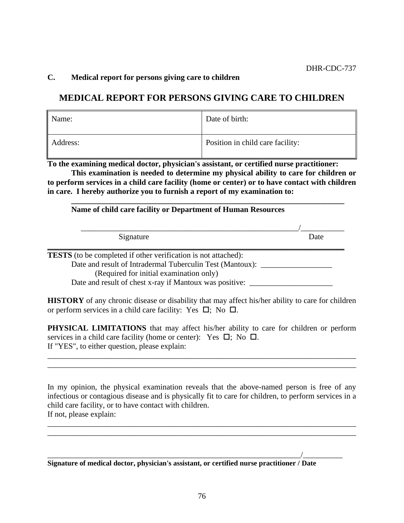# **C. Medical report for persons giving care to children**

# **MEDICAL REPORT FOR PERSONS GIVING CARE TO CHILDREN**

| Name:    | Date of birth:                   |
|----------|----------------------------------|
| Address: | Position in child care facility: |

**To the examining medical doctor, physician's assistant, or certified nurse practitioner: This examination is needed to determine my physical ability to care for children or to perform services in a child care facility (home or center) or to have contact with children in care. I hereby authorize you to furnish a report of my examination to:**

**\_\_\_\_\_\_\_\_\_\_\_\_\_\_\_\_\_\_\_\_\_\_\_\_\_\_\_\_\_\_\_\_\_\_\_\_\_\_\_\_\_\_\_\_\_\_\_\_\_\_\_\_\_\_\_\_\_\_\_\_\_\_\_\_\_\_\_\_\_**

#### **Name of child care facility or Department of Human Resources**

| Signature | Date |
|-----------|------|

**TESTS** (to be completed if other verification is not attached):

Date and result of Intradermal Tuberculin Test (Mantoux): (Required for initial examination only)

Date and result of chest x-ray if Mantoux was positive: \_\_\_\_\_\_\_\_\_\_\_\_\_\_\_\_\_\_\_\_\_\_\_\_

**HISTORY** of any chronic disease or disability that may affect his/her ability to care for children or perform services in a child care facility: Yes  $\Box$ ; No  $\Box$ .

**PHYSICAL LIMITATIONS** that may affect his/her ability to care for children or perform services in a child care facility (home or center): Yes  $\Box$ ; No  $\Box$ . If "YES", to either question, please explain:

\_\_\_\_\_\_\_\_\_\_\_\_\_\_\_\_\_\_\_\_\_\_\_\_\_\_\_\_\_\_\_\_\_\_\_\_\_\_\_\_\_\_\_\_\_\_\_\_\_\_\_\_\_\_\_\_\_\_\_\_\_\_\_\_\_\_\_\_\_\_\_\_\_\_\_\_\_\_ \_\_\_\_\_\_\_\_\_\_\_\_\_\_\_\_\_\_\_\_\_\_\_\_\_\_\_\_\_\_\_\_\_\_\_\_\_\_\_\_\_\_\_\_\_\_\_\_\_\_\_\_\_\_\_\_\_\_\_\_\_\_\_\_\_\_\_\_\_\_\_\_\_\_\_\_\_\_

In my opinion, the physical examination reveals that the above-named person is free of any infectious or contagious disease and is physically fit to care for children, to perform services in a child care facility, or to have contact with children. If not, please explain:

\_\_\_\_\_\_\_\_\_\_\_\_\_\_\_\_\_\_\_\_\_\_\_\_\_\_\_\_\_\_\_\_\_\_\_\_\_\_\_\_\_\_\_\_\_\_\_\_\_\_\_\_\_\_\_\_\_\_\_\_\_\_\_\_\_\_\_\_\_\_\_\_\_\_\_\_\_\_ \_\_\_\_\_\_\_\_\_\_\_\_\_\_\_\_\_\_\_\_\_\_\_\_\_\_\_\_\_\_\_\_\_\_\_\_\_\_\_\_\_\_\_\_\_\_\_\_\_\_\_\_\_\_\_\_\_\_\_\_\_\_\_\_\_\_\_\_\_\_\_\_\_\_\_\_\_\_

\_\_\_\_\_\_\_\_\_\_\_\_\_\_\_\_\_\_\_\_\_\_\_\_\_\_\_\_\_\_\_\_\_\_\_\_\_\_\_\_\_\_\_\_\_\_\_\_\_\_\_\_\_\_\_\_\_\_\_\_\_\_\_\_/\_\_\_\_\_\_\_\_\_\_

**Signature of medical doctor, physician's assistant, or certified nurse practitioner / Date**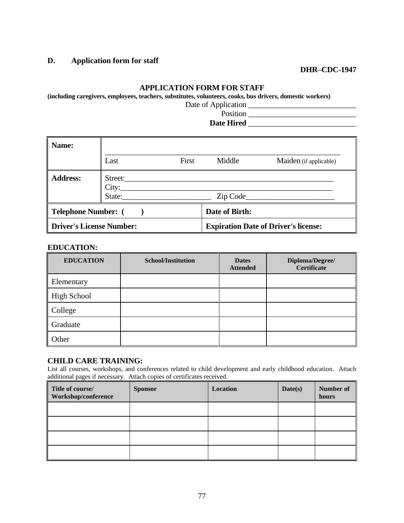# **D. Application form for staff**

# **DHR–CDC-1947**

#### **APPLICATION FORM FOR STAFF**

**(including caregivers, employees, teachers, substitutes, volunteers, cooks, bus drivers, domestic workers)**

Date of Application \_\_\_\_\_\_\_\_\_\_\_\_\_\_\_\_\_\_\_\_\_\_\_\_\_\_\_\_

Position \_\_\_\_\_\_\_\_\_\_\_\_\_\_\_\_\_\_\_\_\_\_\_\_\_\_\_\_ **Date Hired** \_\_\_\_\_\_\_\_\_\_\_\_\_\_\_\_\_\_\_\_\_\_\_\_\_\_\_\_

| Name:                    |                  |       |                |                                             |
|--------------------------|------------------|-------|----------------|---------------------------------------------|
|                          | Last             | First | Middle         | Maiden (if applicable)                      |
| <b>Address:</b>          | Street:<br>City: |       |                | Zip Code                                    |
| Telephone Number: (      |                  |       | Date of Birth: |                                             |
| Driver's License Number: |                  |       |                | <b>Expiration Date of Driver's license:</b> |

#### **EDUCATION:**

| <b>EDUCATION</b> | <b>School/Institution</b> | <b>Dates</b><br><b>Attended</b> | Diploma/Degree/<br><b>Certificate</b> |
|------------------|---------------------------|---------------------------------|---------------------------------------|
| Elementary       |                           |                                 |                                       |
| High School      |                           |                                 |                                       |
| College          |                           |                                 |                                       |
| Graduate         |                           |                                 |                                       |
| Other            |                           |                                 |                                       |

#### **CHILD CARE TRAINING:**

List all courses, workshops, and conferences related to child development and early childhood education. Attach additional pages if necessary. Attach copies of certificates received.

| Title of course/<br>Workshop/conference | <b>Sponsor</b> | Location | Date(s) | Number of<br>hours |
|-----------------------------------------|----------------|----------|---------|--------------------|
|                                         |                |          |         |                    |
|                                         |                |          |         |                    |
|                                         |                |          |         |                    |
|                                         |                |          |         |                    |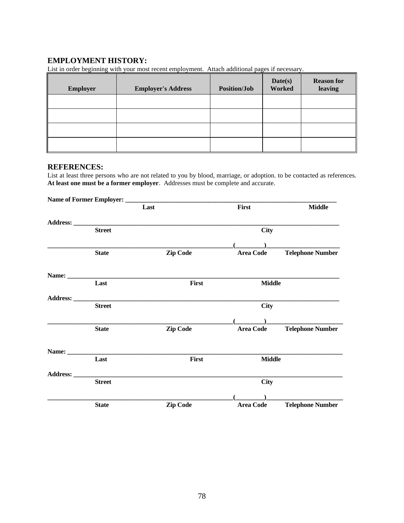# **EMPLOYMENT HISTORY:**

List in order beginning with your most recent employment. Attach additional pages if necessary.

| <b>Employer</b> | <b>Employer's Address</b> | <b>Position/Job</b> | Date(s)<br>Worked | <b>Reason for</b><br>leaving |
|-----------------|---------------------------|---------------------|-------------------|------------------------------|
|                 |                           |                     |                   |                              |
|                 |                           |                     |                   |                              |
|                 |                           |                     |                   |                              |
|                 |                           |                     |                   |                              |

#### **REFERENCES:**

List at least three persons who are not related to you by blood, marriage, or adoption. to be contacted as references. **At least one must be a former employer**. Addresses must be complete and accurate.

|          |               | Last |                 | First            | <b>Middle</b>           |
|----------|---------------|------|-----------------|------------------|-------------------------|
|          |               |      |                 |                  |                         |
|          | <b>Street</b> |      |                 | <b>City</b>      |                         |
|          |               |      |                 |                  |                         |
|          | <b>State</b>  |      | Zip Code        | <b>Area Code</b> | <b>Telephone Number</b> |
|          |               |      |                 |                  |                         |
|          | Last          |      | First           | <b>Middle</b>    |                         |
|          |               |      |                 |                  |                         |
|          | <b>Street</b> |      |                 | <b>City</b>      |                         |
|          |               |      |                 |                  |                         |
|          | <b>State</b>  |      | Zip Code        | <b>Area Code</b> | <b>Telephone Number</b> |
|          |               |      |                 |                  |                         |
|          | Last          |      | First           | <b>Middle</b>    |                         |
| Address: |               |      |                 |                  |                         |
|          | <b>Street</b> |      |                 | <b>City</b>      |                         |
|          |               |      |                 |                  |                         |
|          | <b>State</b>  |      | <b>Zip Code</b> | <b>Area Code</b> | <b>Telephone Number</b> |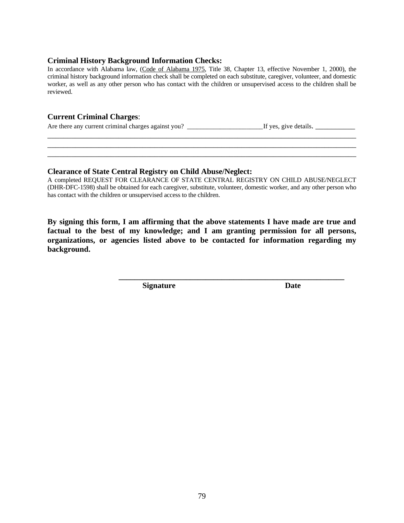#### **Criminal History Background Information Checks:**

In accordance with Alabama law, (Code of Alabama 1975, Title 38, Chapter 13, effective November 1, 2000), the criminal history background information check shall be completed on each substitute, caregiver, volunteer, and domestic worker, as well as any other person who has contact with the children or unsupervised access to the children shall be reviewed.

#### **Current Criminal Charges**:

Are there any current criminal charges against you? \_\_\_\_\_\_\_\_\_\_\_\_\_\_\_\_\_\_\_\_\_\_\_If yes, give details. \_\_\_\_\_\_\_\_\_\_

#### **Clearance of State Central Registry on Child Abuse/Neglect:**

A completed REQUEST FOR CLEARANCE OF STATE CENTRAL REGISTRY ON CHILD ABUSE/NEGLECT (DHR-DFC-1598) shall be obtained for each caregiver, substitute, volunteer, domestic worker, and any other person who has contact with the children or unsupervised access to the children.

\_\_\_\_\_\_\_\_\_\_\_\_\_\_\_\_\_\_\_\_\_\_\_\_\_\_\_\_\_\_\_\_\_\_\_\_\_\_\_\_\_\_\_\_\_\_\_\_\_\_\_\_\_\_\_\_\_\_\_\_\_\_\_\_\_\_\_\_\_\_\_\_\_\_\_\_\_\_ \_\_\_\_\_\_\_\_\_\_\_\_\_\_\_\_\_\_\_\_\_\_\_\_\_\_\_\_\_\_\_\_\_\_\_\_\_\_\_\_\_\_\_\_\_\_\_\_\_\_\_\_\_\_\_\_\_\_\_\_\_\_\_\_\_\_\_\_\_\_\_\_\_\_\_\_\_\_ \_\_\_\_\_\_\_\_\_\_\_\_\_\_\_\_\_\_\_\_\_\_\_\_\_\_\_\_\_\_\_\_\_\_\_\_\_\_\_\_\_\_\_\_\_\_\_\_\_\_\_\_\_\_\_\_\_\_\_\_\_\_\_\_\_\_\_\_\_\_\_\_\_\_\_\_\_\_

**By signing this form, I am affirming that the above statements I have made are true and factual to the best of my knowledge; and I am granting permission for all persons, organizations, or agencies listed above to be contacted for information regarding my background.**

**\_\_\_\_\_\_\_\_\_\_\_\_\_\_\_\_\_\_\_\_\_\_\_\_\_\_\_\_\_\_\_\_\_\_\_\_\_\_\_\_\_\_\_\_\_\_\_\_\_\_\_\_\_\_\_\_\_**

**Signature Date**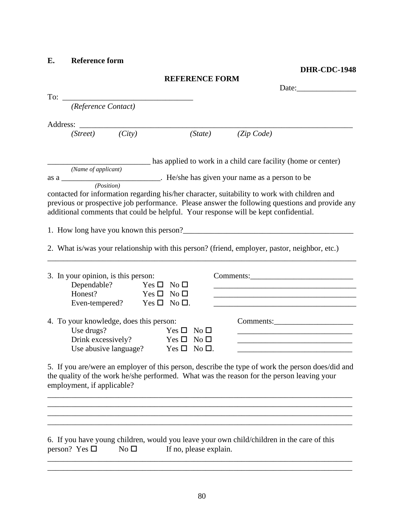**E. Reference form**

**DHR-CDC-1948**

| <b>REFERENCE FORM</b> |  |
|-----------------------|--|
|-----------------------|--|

| (Reference Contact)                                                                                                                                                                                                                                                                   |                        |                                                                                                                                                                                                                                             |  |
|---------------------------------------------------------------------------------------------------------------------------------------------------------------------------------------------------------------------------------------------------------------------------------------|------------------------|---------------------------------------------------------------------------------------------------------------------------------------------------------------------------------------------------------------------------------------------|--|
|                                                                                                                                                                                                                                                                                       |                        |                                                                                                                                                                                                                                             |  |
| (City)<br>(Street)                                                                                                                                                                                                                                                                    | (State)                | (Zip Code)                                                                                                                                                                                                                                  |  |
|                                                                                                                                                                                                                                                                                       |                        | has applied to work in a child care facility (home or center)                                                                                                                                                                               |  |
| (Name of applicant)                                                                                                                                                                                                                                                                   |                        |                                                                                                                                                                                                                                             |  |
| as a __________________________. He/she has given your name as a person to be (Position)                                                                                                                                                                                              |                        |                                                                                                                                                                                                                                             |  |
| contacted for information regarding his/her character, suitability to work with children and<br>previous or prospective job performance. Please answer the following questions and provide any<br>additional comments that could be helpful. Your response will be kept confidential. |                        |                                                                                                                                                                                                                                             |  |
| 1. How long have you known this person?<br><u>Letting the contract of the set of the set of the set of the set of the set of the set of the set of the set of the set of the set of the set of the set of the set of the set of th</u>                                                |                        |                                                                                                                                                                                                                                             |  |
| 2. What is/was your relationship with this person? (friend, employer, pastor, neighbor, etc.)                                                                                                                                                                                         |                        |                                                                                                                                                                                                                                             |  |
| 3. In your opinion, is this person:<br>Dependable? Yes $\square$ No $\square$<br>Honest?<br>Yes $\Box$ No $\Box$<br>Even-tempered? Yes $\square$ No $\square$ .                                                                                                                       |                        | <u> 1989 - Johann John Stone, mars and de final and de final and de final and de final and de final and de final</u><br><u> 1980 - Johann Barbara, martxa alemaniar argumento este alemaniar alemaniar alemaniar alemaniar alemaniar al</u> |  |
| 4. To your knowledge, does this person:                                                                                                                                                                                                                                               |                        | Comments:                                                                                                                                                                                                                                   |  |
| Use drugs?                                                                                                                                                                                                                                                                            | $Yes \Box No \Box$     |                                                                                                                                                                                                                                             |  |
| Drink excessively? Yes $\square$ No $\square$<br>Use abusive language? Yes $\square$ No $\square$ .                                                                                                                                                                                   |                        | <u> 1989 - Johann Stoff, amerikansk politiker (* 1908)</u>                                                                                                                                                                                  |  |
| 5. If you are/were an employer of this person, describe the type of work the person does/did and<br>the quality of the work he/she performed. What was the reason for the person leaving your<br>employment, if applicable?                                                           |                        |                                                                                                                                                                                                                                             |  |
| 6. If you have young children, would you leave your own child/children in the care of this<br>person? Yes $\square$<br>No <sub>1</sub>                                                                                                                                                | If no, please explain. |                                                                                                                                                                                                                                             |  |

\_\_\_\_\_\_\_\_\_\_\_\_\_\_\_\_\_\_\_\_\_\_\_\_\_\_\_\_\_\_\_\_\_\_\_\_\_\_\_\_\_\_\_\_\_\_\_\_\_\_\_\_\_\_\_\_\_\_\_\_\_\_\_\_\_\_\_\_\_\_\_\_\_\_\_\_\_ \_\_\_\_\_\_\_\_\_\_\_\_\_\_\_\_\_\_\_\_\_\_\_\_\_\_\_\_\_\_\_\_\_\_\_\_\_\_\_\_\_\_\_\_\_\_\_\_\_\_\_\_\_\_\_\_\_\_\_\_\_\_\_\_\_\_\_\_\_\_\_\_\_\_\_\_\_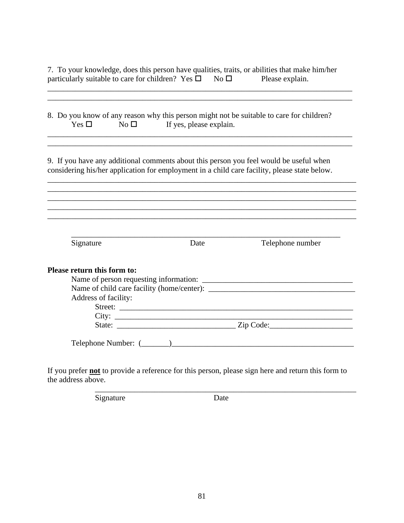7. To your knowledge, does this person have qualities, traits, or abilities that make him/her particularly suitable to care for children? Yes  $\Box$  No  $\Box$  Please explain. particularly suitable to care for children? Yes  $\Box$  No  $\Box$  Please explain.

\_\_\_\_\_\_\_\_\_\_\_\_\_\_\_\_\_\_\_\_\_\_\_\_\_\_\_\_\_\_\_\_\_\_\_\_\_\_\_\_\_\_\_\_\_\_\_\_\_\_\_\_\_\_\_\_\_\_\_\_\_\_\_\_\_\_\_\_\_\_\_\_\_\_\_\_\_

| $Yes \Box$                                          | $\overline{\text{No}}$ If yes, please explain. | 8. Do you know of any reason why this person might not be suitable to care for children?                                                                                               |
|-----------------------------------------------------|------------------------------------------------|----------------------------------------------------------------------------------------------------------------------------------------------------------------------------------------|
|                                                     |                                                | 9. If you have any additional comments about this person you feel would be useful when<br>considering his/her application for employment in a child care facility, please state below. |
|                                                     |                                                |                                                                                                                                                                                        |
| Signature                                           | Date                                           | Telephone number                                                                                                                                                                       |
| Please return this form to:<br>Address of facility: |                                                |                                                                                                                                                                                        |
|                                                     |                                                |                                                                                                                                                                                        |

If you prefer **not** to provide a reference for this person, please sign here and return this form to the address above.

Signature Date

\_\_\_\_\_\_\_\_\_\_\_\_\_\_\_\_\_\_\_\_\_\_\_\_\_\_\_\_\_\_\_\_\_\_\_\_\_\_\_\_\_\_\_\_\_\_\_\_\_\_\_\_\_\_\_\_\_\_\_\_\_\_\_\_\_\_